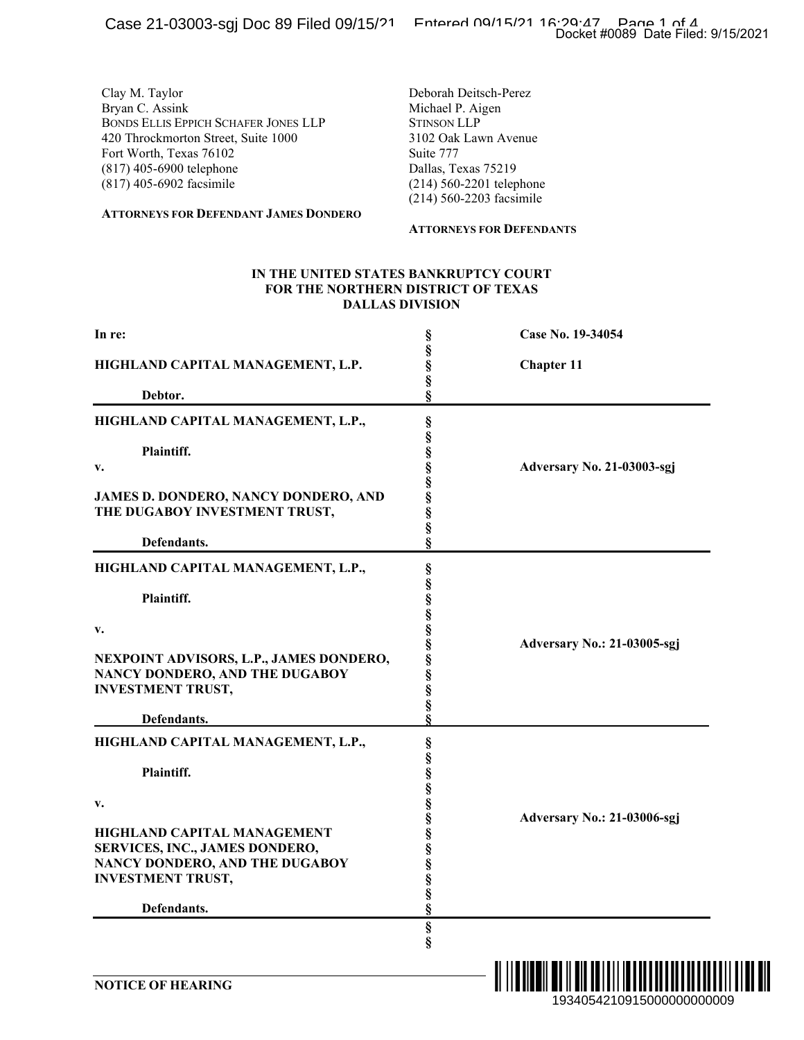#### **ATTORNEYS FOR DEFENDANT JAMES DONDERO**

#### **ATTORNEYS FOR DEFENDANTS**

#### **IN THE UNITED STATES BANKRUPTCY COURT FOR THE NORTHERN DISTRICT OF TEXAS DALLAS DIVISION**

| aoo == vovvo ogj<br>- - - - - - - - -                                                                                                                                                                                                               |                                                                                                                                                                                                                        | Docket #0089 Date Filed: 9/15/2021                                                          |  |
|-----------------------------------------------------------------------------------------------------------------------------------------------------------------------------------------------------------------------------------------------------|------------------------------------------------------------------------------------------------------------------------------------------------------------------------------------------------------------------------|---------------------------------------------------------------------------------------------|--|
| Clay M. Taylor<br>Bryan C. Assink<br>BONDS ELLIS EPPICH SCHAFER JONES LLP<br>420 Throckmorton Street, Suite 1000<br>Fort Worth, Texas 76102<br>(817) 405-6900 telephone<br>(817) 405-6902 facsimile<br><b>ATTORNEYS FOR DEFENDANT JAMES DONDERO</b> | Deborah Deitsch-Perez<br>Michael P. Aigen<br><b>STINSON LLP</b><br>3102 Oak Lawn Avenue<br>Suite 777<br>Dallas, Texas 75219<br>(214) 560-2201 telephone<br>(214) 560-2203 facsimile<br><b>ATTORNEYS FOR DEFENDANTS</b> |                                                                                             |  |
| IN THE UNITED STATES BANKRUPTCY COURT<br>FOR THE NORTHERN DISTRICT OF TEXAS                                                                                                                                                                         | <b>DALLAS DIVISION</b>                                                                                                                                                                                                 |                                                                                             |  |
| In re:                                                                                                                                                                                                                                              |                                                                                                                                                                                                                        | Case No. 19-34054                                                                           |  |
| HIGHLAND CAPITAL MANAGEMENT, L.P.                                                                                                                                                                                                                   | §<br>§<br>§                                                                                                                                                                                                            | <b>Chapter 11</b>                                                                           |  |
| Debtor.                                                                                                                                                                                                                                             | §<br>ş                                                                                                                                                                                                                 |                                                                                             |  |
| HIGHLAND CAPITAL MANAGEMENT, L.P.,<br>Plaintiff.<br>v.<br><b>JAMES D. DONDERO, NANCY DONDERO, AND</b><br>THE DUGABOY INVESTMENT TRUST,<br>Defendants.                                                                                               | es es es es es es es es<br>ş                                                                                                                                                                                           | Adversary No. 21-03003-sgj                                                                  |  |
| HIGHLAND CAPITAL MANAGEMENT, L.P.,<br>Plaintiff.<br>v.<br>NEXPOINT ADVISORS, L.P., JAMES DONDERO,<br>NANCY DONDERO, AND THE DUGABOY<br><b>INVESTMENT TRUST,</b><br>Defendants.                                                                      | §<br>§<br>§<br>§<br>v<br>§<br>§<br>§<br>§<br>§<br>§                                                                                                                                                                    | Adversary No.: 21-03005-sgj                                                                 |  |
| HIGHLAND CAPITAL MANAGEMENT, L.P.,<br>Plaintiff.<br>$\mathbf{v}$ .<br>HIGHLAND CAPITAL MANAGEMENT<br>SERVICES, INC., JAMES DONDERO,<br>NANCY DONDERO, AND THE DUGABOY<br><b>INVESTMENT TRUST,</b><br>Defendants.                                    | §<br>§<br>§<br>ş<br>§<br>ş<br>ş<br>§<br>§<br>§                                                                                                                                                                         | Adversary No.: 21-03006-sgj                                                                 |  |
| <b>NOTICE OF HEARING</b>                                                                                                                                                                                                                            | $\S$<br>ş                                                                                                                                                                                                              | <u> A ANTILIA DE LA MANADIA DE LA MANADIA DE LA MI</u><br>IIII<br>1934054210915000000000009 |  |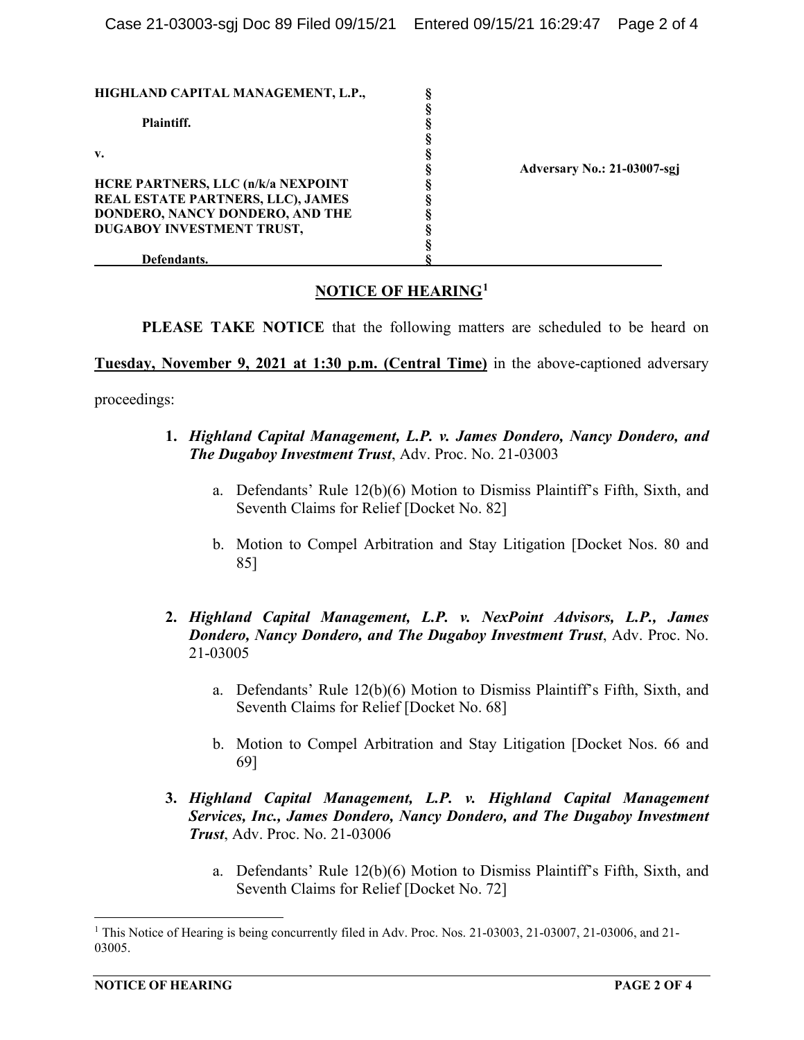| HIGHLAND CAPITAL MANAGEMENT, L.P.,        |                             |
|-------------------------------------------|-----------------------------|
|                                           |                             |
| Plaintiff.                                |                             |
|                                           |                             |
| v.                                        |                             |
|                                           | Adversary No.: 21-03007-sgj |
| <b>HCRE PARTNERS, LLC (n/k/a NEXPOINT</b> |                             |
| REAL ESTATE PARTNERS, LLC), JAMES         |                             |
| DONDERO, NANCY DONDERO, AND THE           |                             |
| DUGABOY INVESTMENT TRUST,                 |                             |
|                                           |                             |
| Defendants.                               |                             |

# **NOTICE OF HEARING[1](#page-1-0)**

**PLEASE TAKE NOTICE** that the following matters are scheduled to be heard on

**Tuesday, November 9, 2021 at 1:30 p.m. (Central Time)** in the above-captioned adversary

proceedings:

- **1.** *Highland Capital Management, L.P. v. James Dondero, Nancy Dondero, and The Dugaboy Investment Trust*, Adv. Proc. No. 21-03003
	- a. Defendants' Rule 12(b)(6) Motion to Dismiss Plaintiff's Fifth, Sixth, and Seventh Claims for Relief [Docket No. 82]
	- b. Motion to Compel Arbitration and Stay Litigation [Docket Nos. 80 and 85]
- **2.** *Highland Capital Management, L.P. v. NexPoint Advisors, L.P., James Dondero, Nancy Dondero, and The Dugaboy Investment Trust*, Adv. Proc. No. 21-03005
	- a. Defendants' Rule 12(b)(6) Motion to Dismiss Plaintiff's Fifth, Sixth, and Seventh Claims for Relief [Docket No. 68]
	- b. Motion to Compel Arbitration and Stay Litigation [Docket Nos. 66 and 69]
- **3.** *Highland Capital Management, L.P. v. Highland Capital Management Services, Inc., James Dondero, Nancy Dondero, and The Dugaboy Investment Trust*, Adv. Proc. No. 21-03006
	- a. Defendants' Rule 12(b)(6) Motion to Dismiss Plaintiff's Fifth, Sixth, and Seventh Claims for Relief [Docket No. 72]

<span id="page-1-0"></span><sup>1</sup> This Notice of Hearing is being concurrently filed in Adv. Proc. Nos. 21-03003, 21-03007, 21-03006, and 21- 03005.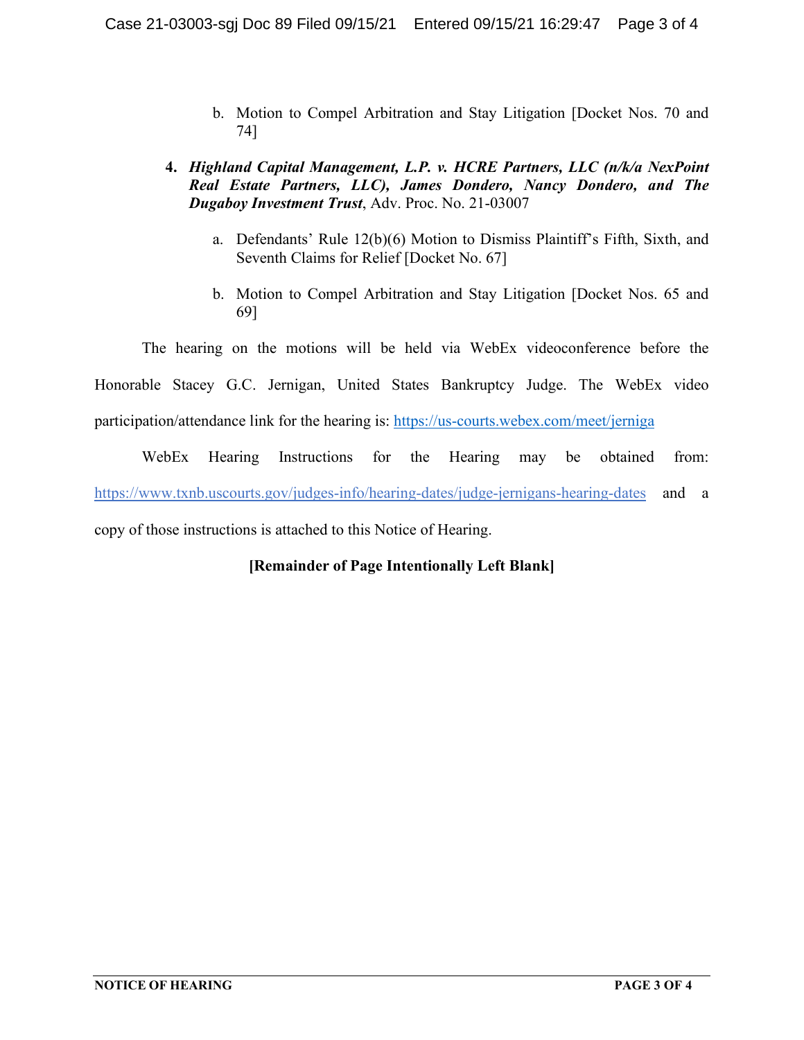- b. Motion to Compel Arbitration and Stay Litigation [Docket Nos. 70 and 74]
- **4.** *Highland Capital Management, L.P. v. HCRE Partners, LLC (n/k/a NexPoint Real Estate Partners, LLC), James Dondero, Nancy Dondero, and The Dugaboy Investment Trust*, Adv. Proc. No. 21-03007
	- a. Defendants' Rule 12(b)(6) Motion to Dismiss Plaintiff's Fifth, Sixth, and Seventh Claims for Relief [Docket No. 67]
	- b. Motion to Compel Arbitration and Stay Litigation [Docket Nos. 65 and 69]

The hearing on the motions will be held via WebEx videoconference before the

Honorable Stacey G.C. Jernigan, United States Bankruptcy Judge. The WebEx video

participation/attendance link for the hearing is:<https://us-courts.webex.com/meet/jerniga>

WebEx Hearing Instructions for the Hearing may be obtained from: https://www.txnb.uscourts.gov/judges-info/hearing-dates/judge-jernigans-hearing-dates and a copy of those instructions is attached to this Notice of Hearing.

# **[Remainder of Page Intentionally Left Blank]**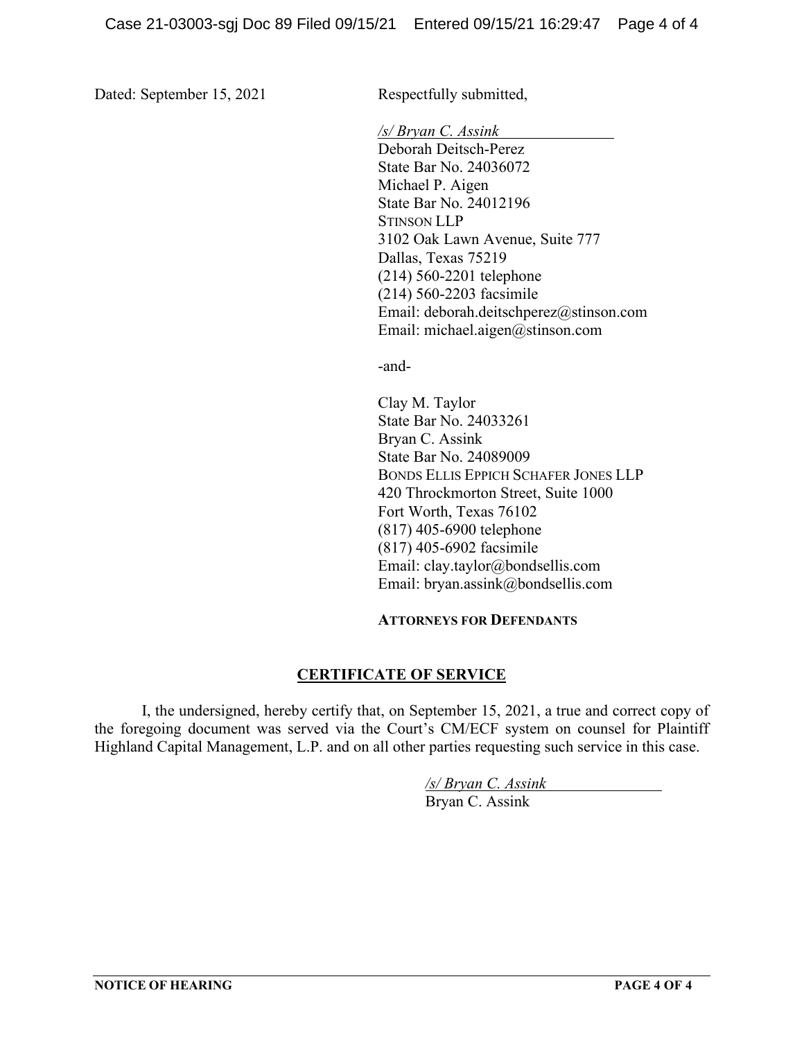Dated: September 15, 2021 Respectfully submitted,

*/s/ Bryan C. Assink*

Deborah Deitsch-Perez State Bar No. 24036072 Michael P. Aigen State Bar No. 24012196 STINSON LLP 3102 Oak Lawn Avenue, Suite 777 Dallas, Texas 75219 (214) 560-2201 telephone (214) 560-2203 facsimile Email: deborah.deitschperez@stinson.com Email: michael.aigen@stinson.com

-and-

Clay M. Taylor State Bar No. 24033261 Bryan C. Assink State Bar No. 24089009 BONDS ELLIS EPPICH SCHAFER JONES LLP 420 Throckmorton Street, Suite 1000 Fort Worth, Texas 76102 (817) 405-6900 telephone (817) 405-6902 facsimile Email: clay.taylor@bondsellis.com Email: bryan.assink@bondsellis.com

## **ATTORNEYS FOR DEFENDANTS**

# **CERTIFICATE OF SERVICE**

I, the undersigned, hereby certify that, on September 15, 2021, a true and correct copy of the foregoing document was served via the Court's CM/ECF system on counsel for Plaintiff Highland Capital Management, L.P. and on all other parties requesting such service in this case.

> */s/ Bryan C. Assink* Bryan C. Assink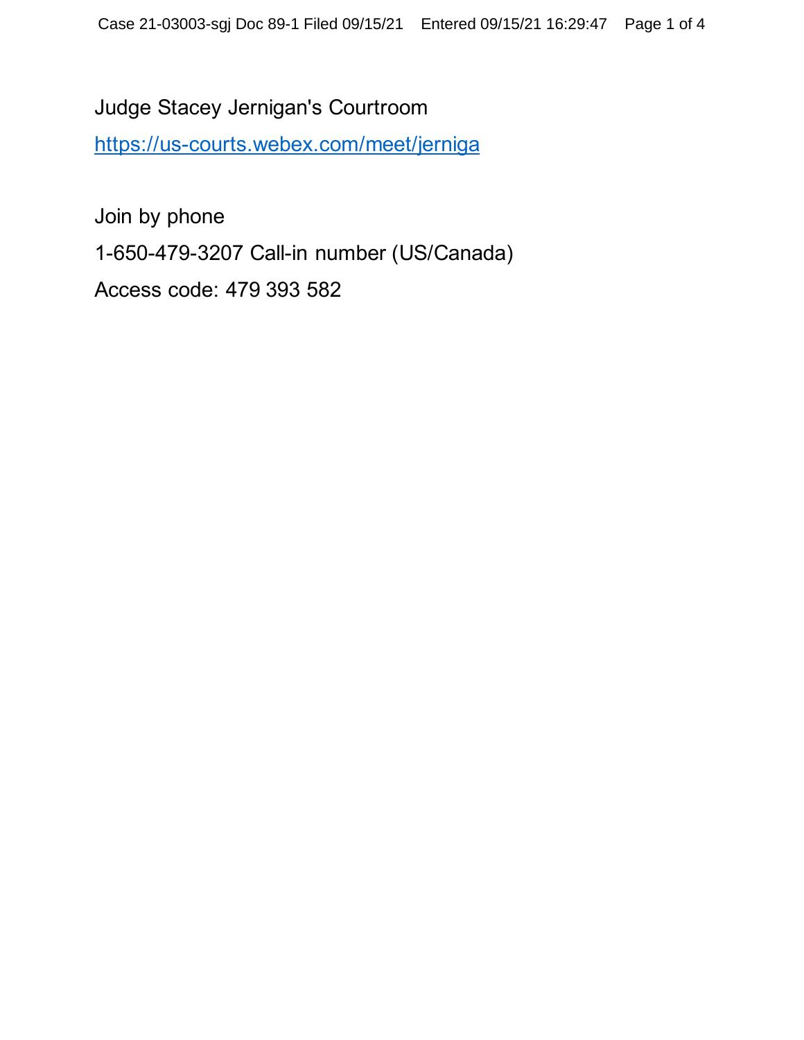Judge Stacey Jernigan's Courtroom <https://us-courts.webex.com/meet/jerniga>

Join by phone 1-650-479-3207 Call-in number (US/Canada) Access code: 479 393 582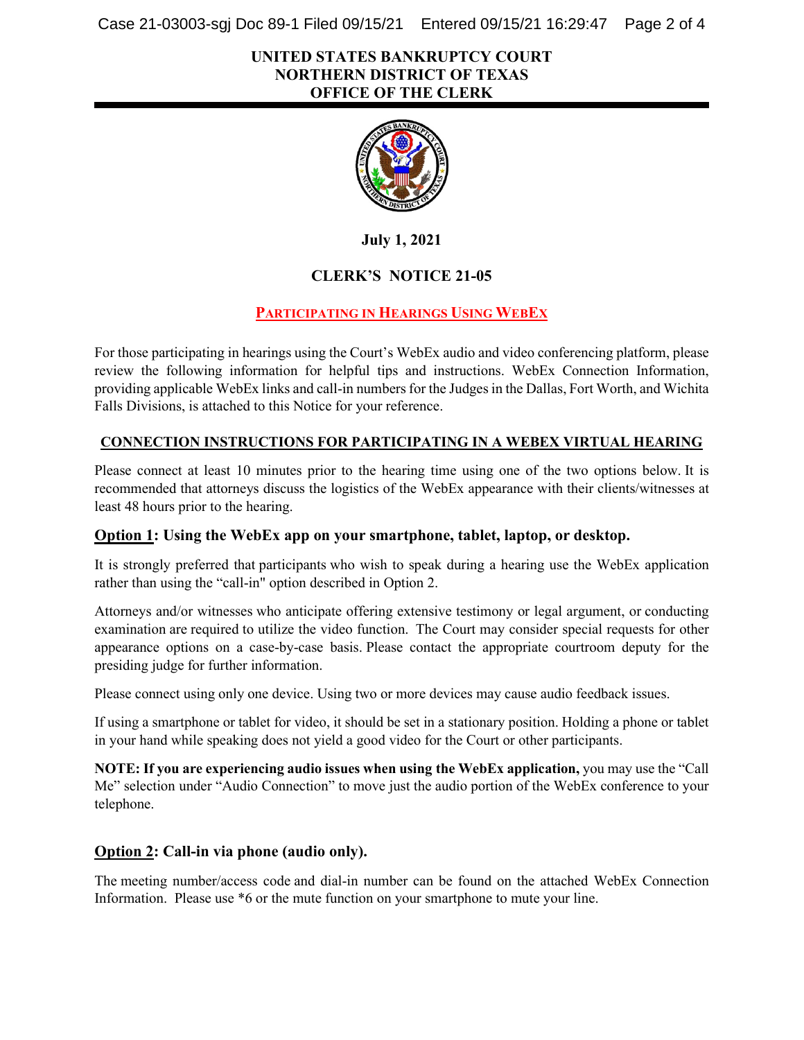Case 21-03003-sgj Doc 89-1 Filed 09/15/21 Entered 09/15/21 16:29:47 Page 2 of 4

## **UNITED STATES BANKRUPTCY COURT NORTHERN DISTRICT OF TEXAS OFFICE OF THE CLERK**



**July 1, 2021**

# **CLERK'S NOTICE 21-05**

# **PARTICIPATING IN HEARINGS USING WEBEX**

For those participating in hearings using the Court's WebEx audio and video conferencing platform, please review the following information for helpful tips and instructions. WebEx Connection Information, providing applicable WebEx links and call-in numbersfor the Judges in the Dallas, Fort Worth, and Wichita Falls Divisions, is attached to this Notice for your reference.

#### **CONNECTION INSTRUCTIONS FOR PARTICIPATING IN A WEBEX VIRTUAL HEARING**

Please connect at least 10 minutes prior to the hearing time using one of the two options below. It is recommended that attorneys discuss the logistics of the WebEx appearance with their clients/witnesses at least 48 hours prior to the hearing.

## **Option 1: Using the WebEx app on your smartphone, tablet, laptop, or desktop.**

It is strongly preferred that participants who wish to speak during a hearing use the WebEx application rather than using the "call-in" option described in Option 2.

Attorneys and/or witnesses who anticipate offering extensive testimony or legal argument, or conducting examination are required to utilize the video function. The Court may consider special requests for other appearance options on a case-by-case basis. Please contact the appropriate courtroom deputy for the presiding judge for further information.

Please connect using only one device. Using two or more devices may cause audio feedback issues.

If using a smartphone or tablet for video, it should be set in a stationary position. Holding a phone or tablet in your hand while speaking does not yield a good video for the Court or other participants.

**NOTE: If you are experiencing audio issues when using the WebEx application,** you may use the "Call Me" selection under "Audio Connection" to move just the audio portion of the WebEx conference to your telephone.

## **Option 2: Call-in via phone (audio only).**

The meeting number/access code and dial-in number can be found on the attached WebEx Connection Information. Please use \*6 or the mute function on your smartphone to mute your line.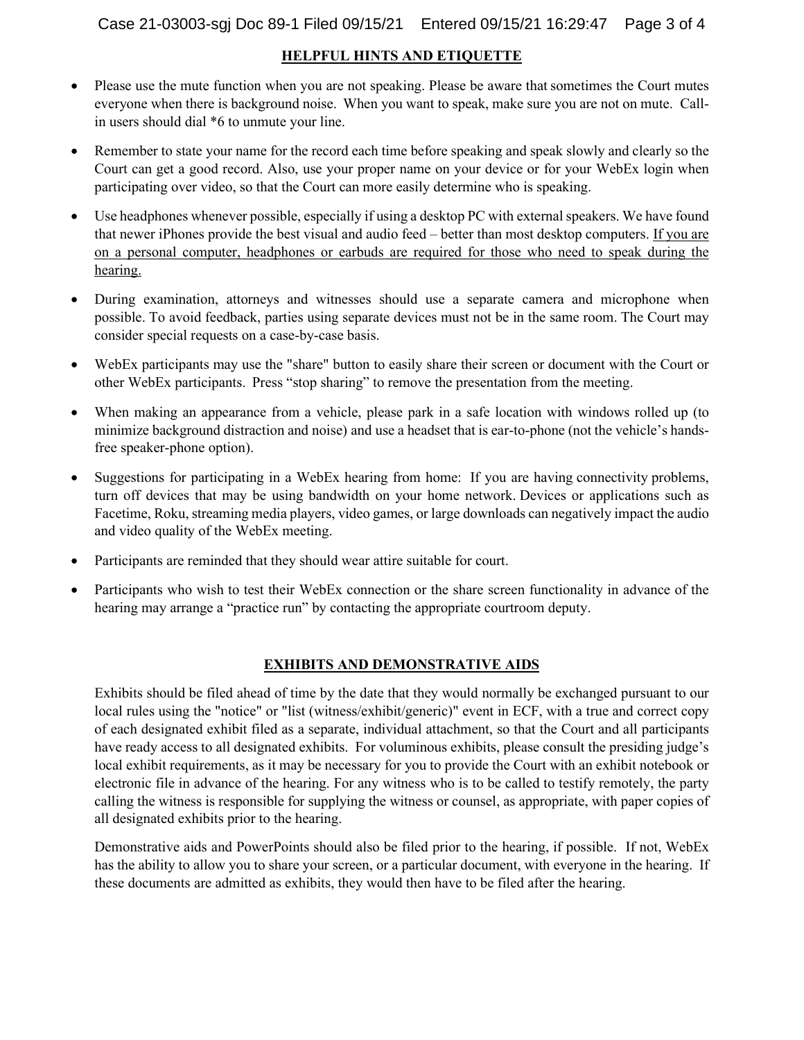#### **HELPFUL HINTS AND ETIQUETTE**

- Please use the mute function when you are not speaking. Please be aware that sometimes the Court mutes everyone when there is background noise.  When you want to speak, make sure you are not on mute. Callin users should dial \*6 to unmute your line.
- Remember to state your name for the record each time before speaking and speak slowly and clearly so the Court can get a good record. Also, use your proper name on your device or for your WebEx login when participating over video, so that the Court can more easily determine who is speaking.
- Use headphones whenever possible, especially if using a desktop PC with external speakers. We have found that newer iPhones provide the best visual and audio feed – better than most desktop computers. If you are on a personal computer, headphones or earbuds are required for those who need to speak during the hearing.
- During examination, attorneys and witnesses should use a separate camera and microphone when possible. To avoid feedback, parties using separate devices must not be in the same room. The Court may consider special requests on a case-by-case basis.
- WebEx participants may use the "share" button to easily share their screen or document with the Court or other WebEx participants.  Press "stop sharing" to remove the presentation from the meeting.
- When making an appearance from a vehicle, please park in a safe location with windows rolled up (to minimize background distraction and noise) and use a headset that is ear-to-phone (not the vehicle's handsfree speaker-phone option).
- Suggestions for participating in a WebEx hearing from home: If you are having connectivity problems, turn off devices that may be using bandwidth on your home network. Devices or applications such as Facetime, Roku, streaming media players, video games, or large downloads can negatively impact the audio and video quality of the WebEx meeting.
- Participants are reminded that they should wear attire suitable for court.
- Participants who wish to test their WebEx connection or the share screen functionality in advance of the hearing may arrange a "practice run" by contacting the appropriate courtroom deputy.

## **EXHIBITS AND DEMONSTRATIVE AIDS**

Exhibits should be filed ahead of time by the date that they would normally be exchanged pursuant to our local rules using the "notice" or "list (witness/exhibit/generic)" event in ECF, with a true and correct copy of each designated exhibit filed as a separate, individual attachment, so that the Court and all participants have ready access to all designated exhibits. For voluminous exhibits, please consult the presiding judge's local exhibit requirements, as it may be necessary for you to provide the Court with an exhibit notebook or electronic file in advance of the hearing. For any witness who is to be called to testify remotely, the party calling the witness is responsible for supplying the witness or counsel, as appropriate, with paper copies of all designated exhibits prior to the hearing.

Demonstrative aids and PowerPoints should also be filed prior to the hearing, if possible. If not, WebEx has the ability to allow you to share your screen, or a particular document, with everyone in the hearing. If these documents are admitted as exhibits, they would then have to be filed after the hearing.